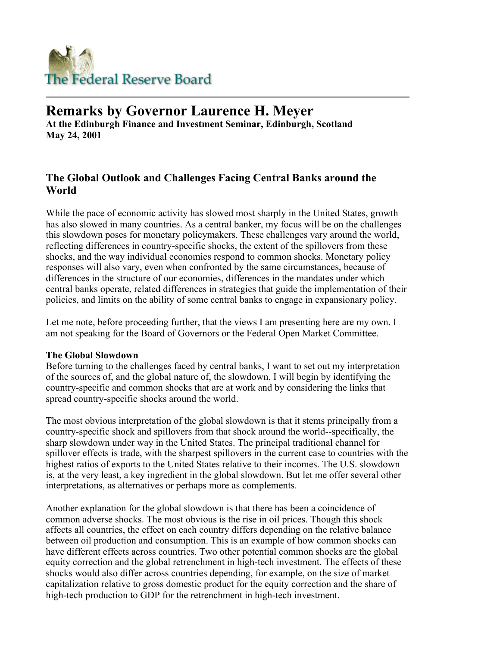

# **Remarks by Governor Laurence H. Meyer**

**At the Edinburgh Finance and Investment Seminar, Edinburgh, Scotland May 24, 2001** 

## **The Global Outlook and Challenges Facing Central Banks around the World**

While the pace of economic activity has slowed most sharply in the United States, growth has also slowed in many countries. As a central banker, my focus will be on the challenges this slowdown poses for monetary policymakers. These challenges vary around the world, reflecting differences in country-specific shocks, the extent of the spillovers from these shocks, and the way individual economies respond to common shocks. Monetary policy responses will also vary, even when confronted by the same circumstances, because of differences in the structure of our economies, differences in the mandates under which central banks operate, related differences in strategies that guide the implementation of their policies, and limits on the ability of some central banks to engage in expansionary policy.

Let me note, before proceeding further, that the views I am presenting here are my own. I am not speaking for the Board of Governors or the Federal Open Market Committee.

### **The Global Slowdown**

Before turning to the challenges faced by central banks, I want to set out my interpretation of the sources of, and the global nature of, the slowdown. I will begin by identifying the country-specific and common shocks that are at work and by considering the links that spread country-specific shocks around the world.

The most obvious interpretation of the global slowdown is that it stems principally from a country-specific shock and spillovers from that shock around the world--specifically, the sharp slowdown under way in the United States. The principal traditional channel for spillover effects is trade, with the sharpest spillovers in the current case to countries with the highest ratios of exports to the United States relative to their incomes. The U.S. slowdown is, at the very least, a key ingredient in the global slowdown. But let me offer several other interpretations, as alternatives or perhaps more as complements.

Another explanation for the global slowdown is that there has been a coincidence of common adverse shocks. The most obvious is the rise in oil prices. Though this shock affects all countries, the effect on each country differs depending on the relative balance between oil production and consumption. This is an example of how common shocks can have different effects across countries. Two other potential common shocks are the global equity correction and the global retrenchment in high-tech investment. The effects of these shocks would also differ across countries depending, for example, on the size of market capitalization relative to gross domestic product for the equity correction and the share of high-tech production to GDP for the retrenchment in high-tech investment.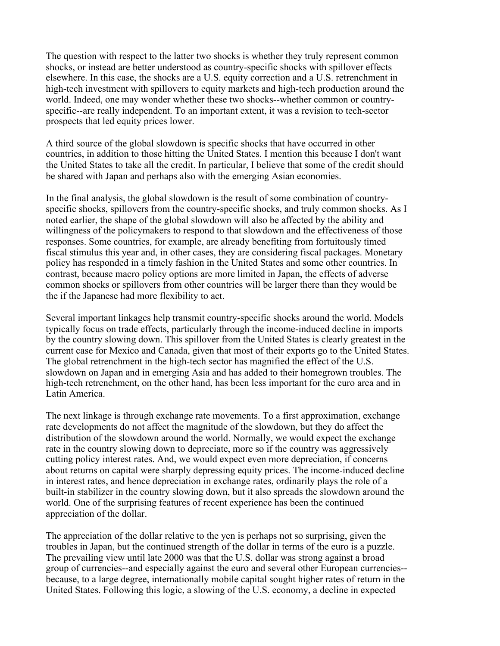The question with respect to the latter two shocks is whether they truly represent common shocks, or instead are better understood as country-specific shocks with spillover effects elsewhere. In this case, the shocks are a U.S. equity correction and a U.S. retrenchment in high-tech investment with spillovers to equity markets and high-tech production around the world. Indeed, one may wonder whether these two shocks--whether common or countryspecific--are really independent. To an important extent, it was a revision to tech-sector prospects that led equity prices lower.

A third source of the global slowdown is specific shocks that have occurred in other countries, in addition to those hitting the United States. I mention this because I don't want the United States to take all the credit. In particular, I believe that some of the credit should be shared with Japan and perhaps also with the emerging Asian economies.

In the final analysis, the global slowdown is the result of some combination of countryspecific shocks, spillovers from the country-specific shocks, and truly common shocks. As I noted earlier, the shape of the global slowdown will also be affected by the ability and willingness of the policymakers to respond to that slowdown and the effectiveness of those responses. Some countries, for example, are already benefiting from fortuitously timed fiscal stimulus this year and, in other cases, they are considering fiscal packages. Monetary policy has responded in a timely fashion in the United States and some other countries. In contrast, because macro policy options are more limited in Japan, the effects of adverse common shocks or spillovers from other countries will be larger there than they would be the if the Japanese had more flexibility to act.

Several important linkages help transmit country-specific shocks around the world. Models typically focus on trade effects, particularly through the income-induced decline in imports by the country slowing down. This spillover from the United States is clearly greatest in the current case for Mexico and Canada, given that most of their exports go to the United States. The global retrenchment in the high-tech sector has magnified the effect of the U.S. slowdown on Japan and in emerging Asia and has added to their homegrown troubles. The high-tech retrenchment, on the other hand, has been less important for the euro area and in Latin America.

The next linkage is through exchange rate movements. To a first approximation, exchange rate developments do not affect the magnitude of the slowdown, but they do affect the distribution of the slowdown around the world. Normally, we would expect the exchange rate in the country slowing down to depreciate, more so if the country was aggressively cutting policy interest rates. And, we would expect even more depreciation, if concerns about returns on capital were sharply depressing equity prices. The income-induced decline in interest rates, and hence depreciation in exchange rates, ordinarily plays the role of a built-in stabilizer in the country slowing down, but it also spreads the slowdown around the world. One of the surprising features of recent experience has been the continued appreciation of the dollar.

The appreciation of the dollar relative to the yen is perhaps not so surprising, given the troubles in Japan, but the continued strength of the dollar in terms of the euro is a puzzle. The prevailing view until late 2000 was that the U.S. dollar was strong against a broad group of currencies--and especially against the euro and several other European currencies- because, to a large degree, internationally mobile capital sought higher rates of return in the United States. Following this logic, a slowing of the U.S. economy, a decline in expected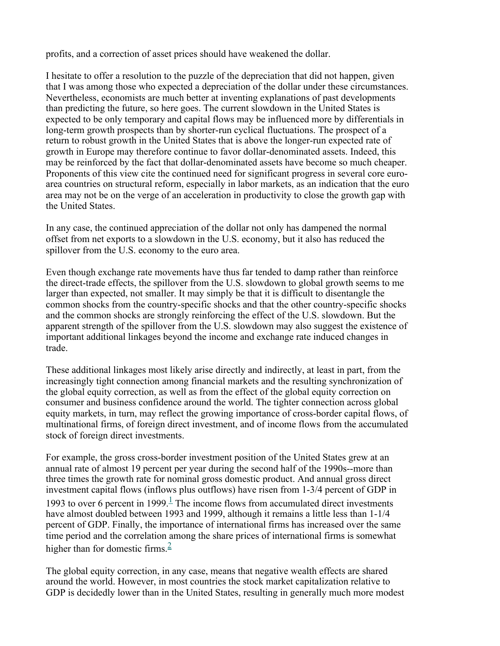profits, and a correction of asset prices should have weakened the dollar.

I hesitate to offer a resolution to the puzzle of the depreciation that did not happen, given that I was among those who expected a depreciation of the dollar under these circumstances. Nevertheless, economists are much better at inventing explanations of past developments than predicting the future, so here goes. The current slowdown in the United States is expected to be only temporary and capital flows may be influenced more by differentials in long-term growth prospects than by shorter-run cyclical fluctuations. The prospect of a return to robust growth in the United States that is above the longer-run expected rate of growth in Europe may therefore continue to favor dollar-denominated assets. Indeed, this may be reinforced by the fact that dollar-denominated assets have become so much cheaper. Proponents of this view cite the continued need for significant progress in several core euroarea countries on structural reform, especially in labor markets, as an indication that the euro area may not be on the verge of an acceleration in productivity to close the growth gap with the United States.

In any case, the continued appreciation of the dollar not only has dampened the normal offset from net exports to a slowdown in the U.S. economy, but it also has reduced the spillover from the U.S. economy to the euro area.

Even though exchange rate movements have thus far tended to damp rather than reinforce the direct-trade effects, the spillover from the U.S. slowdown to global growth seems to me larger than expected, not smaller. It may simply be that it is difficult to disentangle the common shocks from the country-specific shocks and that the other country-specific shocks and the common shocks are strongly reinforcing the effect of the U.S. slowdown. But the apparent strength of the spillover from the U.S. slowdown may also suggest the existence of important additional linkages beyond the income and exchange rate induced changes in trade.

These additional linkages most likely arise directly and indirectly, at least in part, from the increasingly tight connection among financial markets and the resulting synchronization of the global equity correction, as well as from the effect of the global equity correction on consumer and business confidence around the world. The tighter connection across global equity markets, in turn, may reflect the growing importance of cross-border capital flows, of multinational firms, of foreign direct investment, and of income flows from the accumulated stock of foreign direct investments.

For example, the gross cross-border investment position of the United States grew at an annual rate of almost 19 percent per year during the second half of the 1990s--more than three times the growth rate for nominal gross domestic product. And annual gross direct investment capital flows (inflows plus outflows) have risen from 1-3/4 percent of GDP in 1993 to over 6 percent in 1999. $\frac{1}{x}$  The income flows from accumulated direct investments have almost doubled between 1993 and 1999, although it remains a little less than 1-1/4 percent of GDP. Finally, the importance of international firms has increased over the same time period and the correlation among the share prices of international firms is somewhat higher than for domestic firms. $\frac{2}{3}$ 

The global equity correction, in any case, means that negative wealth effects are shared around the world. However, in most countries the stock market capitalization relative to GDP is decidedly lower than in the United States, resulting in generally much more modest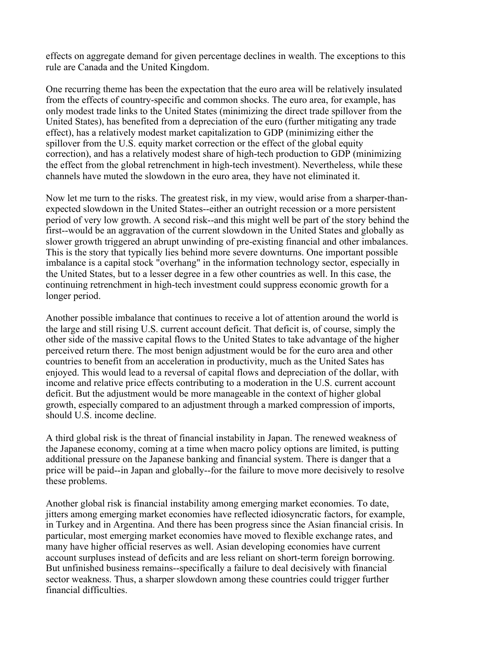effects on aggregate demand for given percentage declines in wealth. The exceptions to this rule are Canada and the United Kingdom.

One recurring theme has been the expectation that the euro area will be relatively insulated from the effects of country-specific and common shocks. The euro area, for example, has only modest trade links to the United States (minimizing the direct trade spillover from the United States), has benefited from a depreciation of the euro (further mitigating any trade effect), has a relatively modest market capitalization to GDP (minimizing either the spillover from the U.S. equity market correction or the effect of the global equity correction), and has a relatively modest share of high-tech production to GDP (minimizing the effect from the global retrenchment in high-tech investment). Nevertheless, while these channels have muted the slowdown in the euro area, they have not eliminated it.

Now let me turn to the risks. The greatest risk, in my view, would arise from a sharper-thanexpected slowdown in the United States--either an outright recession or a more persistent period of very low growth. A second risk--and this might well be part of the story behind the first--would be an aggravation of the current slowdown in the United States and globally as slower growth triggered an abrupt unwinding of pre-existing financial and other imbalances. This is the story that typically lies behind more severe downturns. One important possible imbalance is a capital stock "overhang" in the information technology sector, especially in the United States, but to a lesser degree in a few other countries as well. In this case, the continuing retrenchment in high-tech investment could suppress economic growth for a longer period.

Another possible imbalance that continues to receive a lot of attention around the world is the large and still rising U.S. current account deficit. That deficit is, of course, simply the other side of the massive capital flows to the United States to take advantage of the higher perceived return there. The most benign adjustment would be for the euro area and other countries to benefit from an acceleration in productivity, much as the United Sates has enjoyed. This would lead to a reversal of capital flows and depreciation of the dollar, with income and relative price effects contributing to a moderation in the U.S. current account deficit. But the adjustment would be more manageable in the context of higher global growth, especially compared to an adjustment through a marked compression of imports, should U.S. income decline.

A third global risk is the threat of financial instability in Japan. The renewed weakness of the Japanese economy, coming at a time when macro policy options are limited, is putting additional pressure on the Japanese banking and financial system. There is danger that a price will be paid--in Japan and globally--for the failure to move more decisively to resolve these problems.

Another global risk is financial instability among emerging market economies. To date, jitters among emerging market economies have reflected idiosyncratic factors, for example, in Turkey and in Argentina. And there has been progress since the Asian financial crisis. In particular, most emerging market economies have moved to flexible exchange rates, and many have higher official reserves as well. Asian developing economies have current account surpluses instead of deficits and are less reliant on short-term foreign borrowing. But unfinished business remains--specifically a failure to deal decisively with financial sector weakness. Thus, a sharper slowdown among these countries could trigger further financial difficulties.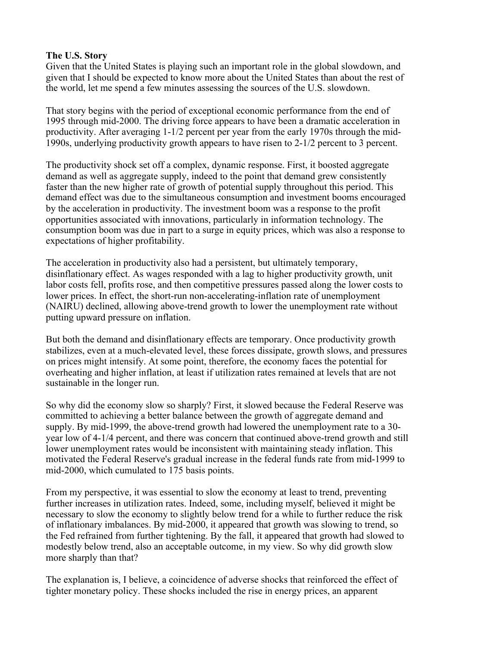### **The U.S. Story**

Given that the United States is playing such an important role in the global slowdown, and given that I should be expected to know more about the United States than about the rest of the world, let me spend a few minutes assessing the sources of the U.S. slowdown.

That story begins with the period of exceptional economic performance from the end of 1995 through mid-2000. The driving force appears to have been a dramatic acceleration in productivity. After averaging 1-1/2 percent per year from the early 1970s through the mid-1990s, underlying productivity growth appears to have risen to 2-1/2 percent to 3 percent.

The productivity shock set off a complex, dynamic response. First, it boosted aggregate demand as well as aggregate supply, indeed to the point that demand grew consistently faster than the new higher rate of growth of potential supply throughout this period. This demand effect was due to the simultaneous consumption and investment booms encouraged by the acceleration in productivity. The investment boom was a response to the profit opportunities associated with innovations, particularly in information technology. The consumption boom was due in part to a surge in equity prices, which was also a response to expectations of higher profitability.

The acceleration in productivity also had a persistent, but ultimately temporary, disinflationary effect. As wages responded with a lag to higher productivity growth, unit labor costs fell, profits rose, and then competitive pressures passed along the lower costs to lower prices. In effect, the short-run non-accelerating-inflation rate of unemployment (NAIRU) declined, allowing above-trend growth to lower the unemployment rate without putting upward pressure on inflation.

But both the demand and disinflationary effects are temporary. Once productivity growth stabilizes, even at a much-elevated level, these forces dissipate, growth slows, and pressures on prices might intensify. At some point, therefore, the economy faces the potential for overheating and higher inflation, at least if utilization rates remained at levels that are not sustainable in the longer run.

So why did the economy slow so sharply? First, it slowed because the Federal Reserve was committed to achieving a better balance between the growth of aggregate demand and supply. By mid-1999, the above-trend growth had lowered the unemployment rate to a 30 year low of 4-1/4 percent, and there was concern that continued above-trend growth and still lower unemployment rates would be inconsistent with maintaining steady inflation. This motivated the Federal Reserve's gradual increase in the federal funds rate from mid-1999 to mid-2000, which cumulated to 175 basis points.

From my perspective, it was essential to slow the economy at least to trend, preventing further increases in utilization rates. Indeed, some, including myself, believed it might be necessary to slow the economy to slightly below trend for a while to further reduce the risk of inflationary imbalances. By mid-2000, it appeared that growth was slowing to trend, so the Fed refrained from further tightening. By the fall, it appeared that growth had slowed to modestly below trend, also an acceptable outcome, in my view. So why did growth slow more sharply than that?

The explanation is, I believe, a coincidence of adverse shocks that reinforced the effect of tighter monetary policy. These shocks included the rise in energy prices, an apparent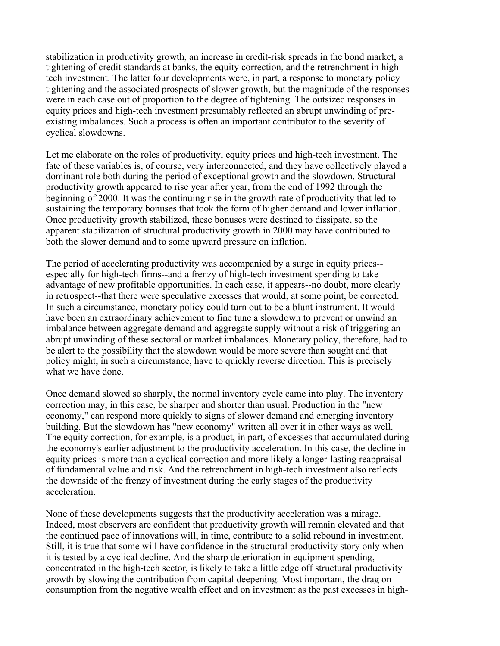stabilization in productivity growth, an increase in credit-risk spreads in the bond market, a tightening of credit standards at banks, the equity correction, and the retrenchment in hightech investment. The latter four developments were, in part, a response to monetary policy tightening and the associated prospects of slower growth, but the magnitude of the responses were in each case out of proportion to the degree of tightening. The outsized responses in equity prices and high-tech investment presumably reflected an abrupt unwinding of preexisting imbalances. Such a process is often an important contributor to the severity of cyclical slowdowns.

Let me elaborate on the roles of productivity, equity prices and high-tech investment. The fate of these variables is, of course, very interconnected, and they have collectively played a dominant role both during the period of exceptional growth and the slowdown. Structural productivity growth appeared to rise year after year, from the end of 1992 through the beginning of 2000. It was the continuing rise in the growth rate of productivity that led to sustaining the temporary bonuses that took the form of higher demand and lower inflation. Once productivity growth stabilized, these bonuses were destined to dissipate, so the apparent stabilization of structural productivity growth in 2000 may have contributed to both the slower demand and to some upward pressure on inflation.

The period of accelerating productivity was accompanied by a surge in equity prices- especially for high-tech firms--and a frenzy of high-tech investment spending to take advantage of new profitable opportunities. In each case, it appears--no doubt, more clearly in retrospect--that there were speculative excesses that would, at some point, be corrected. In such a circumstance, monetary policy could turn out to be a blunt instrument. It would have been an extraordinary achievement to fine tune a slowdown to prevent or unwind an imbalance between aggregate demand and aggregate supply without a risk of triggering an abrupt unwinding of these sectoral or market imbalances. Monetary policy, therefore, had to be alert to the possibility that the slowdown would be more severe than sought and that policy might, in such a circumstance, have to quickly reverse direction. This is precisely what we have done.

Once demand slowed so sharply, the normal inventory cycle came into play. The inventory correction may, in this case, be sharper and shorter than usual. Production in the "new economy," can respond more quickly to signs of slower demand and emerging inventory building. But the slowdown has "new economy" written all over it in other ways as well. The equity correction, for example, is a product, in part, of excesses that accumulated during the economy's earlier adjustment to the productivity acceleration. In this case, the decline in equity prices is more than a cyclical correction and more likely a longer-lasting reappraisal of fundamental value and risk. And the retrenchment in high-tech investment also reflects the downside of the frenzy of investment during the early stages of the productivity acceleration.

None of these developments suggests that the productivity acceleration was a mirage. Indeed, most observers are confident that productivity growth will remain elevated and that the continued pace of innovations will, in time, contribute to a solid rebound in investment. Still, it is true that some will have confidence in the structural productivity story only when it is tested by a cyclical decline. And the sharp deterioration in equipment spending, concentrated in the high-tech sector, is likely to take a little edge off structural productivity growth by slowing the contribution from capital deepening. Most important, the drag on consumption from the negative wealth effect and on investment as the past excesses in high-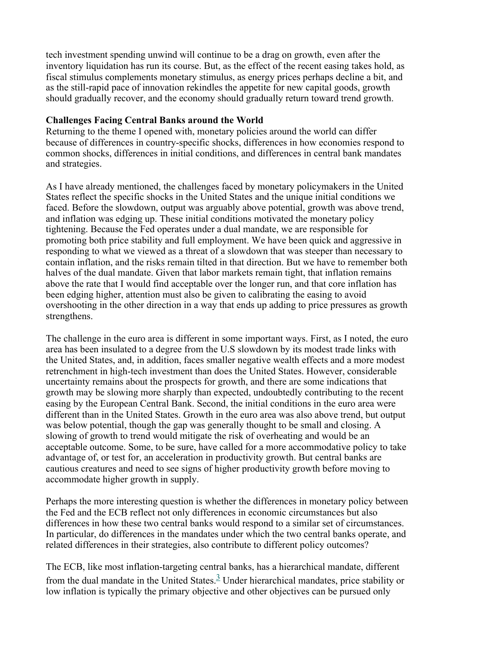tech investment spending unwind will continue to be a drag on growth, even after the inventory liquidation has run its course. But, as the effect of the recent easing takes hold, as fiscal stimulus complements monetary stimulus, as energy prices perhaps decline a bit, and as the still-rapid pace of innovation rekindles the appetite for new capital goods, growth should gradually recover, and the economy should gradually return toward trend growth.

### **Challenges Facing Central Banks around the World**

Returning to the theme I opened with, monetary policies around the world can differ because of differences in country-specific shocks, differences in how economies respond to common shocks, differences in initial conditions, and differences in central bank mandates and strategies.

As I have already mentioned, the challenges faced by monetary policymakers in the United States reflect the specific shocks in the United States and the unique initial conditions we faced. Before the slowdown, output was arguably above potential, growth was above trend, and inflation was edging up. These initial conditions motivated the monetary policy tightening. Because the Fed operates under a dual mandate, we are responsible for promoting both price stability and full employment. We have been quick and aggressive in responding to what we viewed as a threat of a slowdown that was steeper than necessary to contain inflation, and the risks remain tilted in that direction. But we have to remember both halves of the dual mandate. Given that labor markets remain tight, that inflation remains above the rate that I would find acceptable over the longer run, and that core inflation has been edging higher, attention must also be given to calibrating the easing to avoid overshooting in the other direction in a way that ends up adding to price pressures as growth strengthens.

The challenge in the euro area is different in some important ways. First, as I noted, the euro area has been insulated to a degree from the U.S slowdown by its modest trade links with the United States, and, in addition, faces smaller negative wealth effects and a more modest retrenchment in high-tech investment than does the United States. However, considerable uncertainty remains about the prospects for growth, and there are some indications that growth may be slowing more sharply than expected, undoubtedly contributing to the recent easing by the European Central Bank. Second, the initial conditions in the euro area were different than in the United States. Growth in the euro area was also above trend, but output was below potential, though the gap was generally thought to be small and closing. A slowing of growth to trend would mitigate the risk of overheating and would be an acceptable outcome. Some, to be sure, have called for a more accommodative policy to take advantage of, or test for, an acceleration in productivity growth. But central banks are cautious creatures and need to see signs of higher productivity growth before moving to accommodate higher growth in supply.

Perhaps the more interesting question is whether the differences in monetary policy between the Fed and the ECB reflect not only differences in economic circumstances but also differences in how these two central banks would respond to a similar set of circumstances. In particular, do differences in the mandates under which the two central banks operate, and related differences in their strategies, also contribute to different policy outcomes?

The ECB, like most inflation-targeting central banks, has a hierarchical mandate, different from the dual mandate in the United States.<sup>3</sup> Under hierarchical mandates, price stability or low inflation is typically the primary objective and other objectives can be pursued only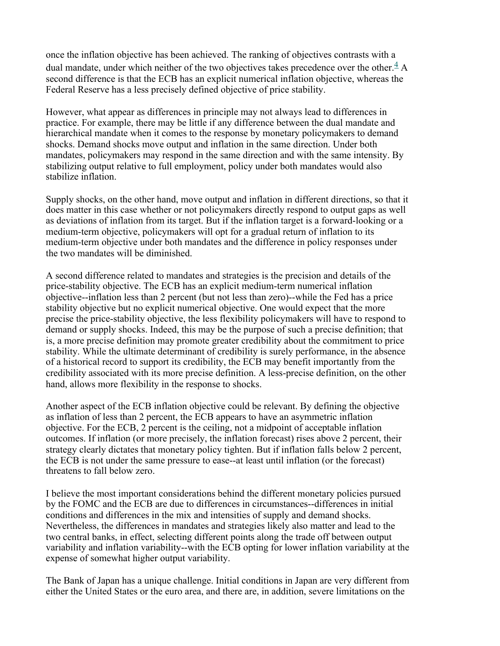once the inflation objective has been achieved. The ranking of objectives contrasts with a dual mandate, under which neither of the two objectives takes precedence over the other. $\frac{4}{3}$  A second difference is that the ECB has an explicit numerical inflation objective, whereas the Federal Reserve has a less precisely defined objective of price stability.

However, what appear as differences in principle may not always lead to differences in practice. For example, there may be little if any difference between the dual mandate and hierarchical mandate when it comes to the response by monetary policymakers to demand shocks. Demand shocks move output and inflation in the same direction. Under both mandates, policymakers may respond in the same direction and with the same intensity. By stabilizing output relative to full employment, policy under both mandates would also stabilize inflation.

Supply shocks, on the other hand, move output and inflation in different directions, so that it does matter in this case whether or not policymakers directly respond to output gaps as well as deviations of inflation from its target. But if the inflation target is a forward-looking or a medium-term objective, policymakers will opt for a gradual return of inflation to its medium-term objective under both mandates and the difference in policy responses under the two mandates will be diminished.

A second difference related to mandates and strategies is the precision and details of the price-stability objective. The ECB has an explicit medium-term numerical inflation objective--inflation less than 2 percent (but not less than zero)--while the Fed has a price stability objective but no explicit numerical objective. One would expect that the more precise the price-stability objective, the less flexibility policymakers will have to respond to demand or supply shocks. Indeed, this may be the purpose of such a precise definition; that is, a more precise definition may promote greater credibility about the commitment to price stability. While the ultimate determinant of credibility is surely performance, in the absence of a historical record to support its credibility, the ECB may benefit importantly from the credibility associated with its more precise definition. A less-precise definition, on the other hand, allows more flexibility in the response to shocks.

Another aspect of the ECB inflation objective could be relevant. By defining the objective as inflation of less than 2 percent, the ECB appears to have an asymmetric inflation objective. For the ECB, 2 percent is the ceiling, not a midpoint of acceptable inflation outcomes. If inflation (or more precisely, the inflation forecast) rises above 2 percent, their strategy clearly dictates that monetary policy tighten. But if inflation falls below 2 percent, the ECB is not under the same pressure to ease--at least until inflation (or the forecast) threatens to fall below zero.

I believe the most important considerations behind the different monetary policies pursued by the FOMC and the ECB are due to differences in circumstances--differences in initial conditions and differences in the mix and intensities of supply and demand shocks. Nevertheless, the differences in mandates and strategies likely also matter and lead to the two central banks, in effect, selecting different points along the trade off between output variability and inflation variability--with the ECB opting for lower inflation variability at the expense of somewhat higher output variability.

The Bank of Japan has a unique challenge. Initial conditions in Japan are very different from either the United States or the euro area, and there are, in addition, severe limitations on the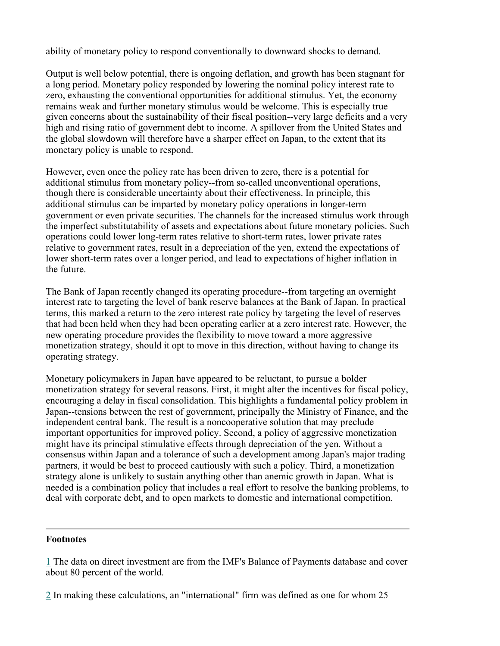ability of monetary policy to respond conventionally to downward shocks to demand.

Output is well below potential, there is ongoing deflation, and growth has been stagnant for a long period. Monetary policy responded by lowering the nominal policy interest rate to zero, exhausting the conventional opportunities for additional stimulus. Yet, the economy remains weak and further monetary stimulus would be welcome. This is especially true given concerns about the sustainability of their fiscal position--very large deficits and a very high and rising ratio of government debt to income. A spillover from the United States and the global slowdown will therefore have a sharper effect on Japan, to the extent that its monetary policy is unable to respond.

However, even once the policy rate has been driven to zero, there is a potential for additional stimulus from monetary policy--from so-called unconventional operations, though there is considerable uncertainty about their effectiveness. In principle, this additional stimulus can be imparted by monetary policy operations in longer-term government or even private securities. The channels for the increased stimulus work through the imperfect substitutability of assets and expectations about future monetary policies. Such operations could lower long-term rates relative to short-term rates, lower private rates relative to government rates, result in a depreciation of the yen, extend the expectations of lower short-term rates over a longer period, and lead to expectations of higher inflation in the future.

The Bank of Japan recently changed its operating procedure--from targeting an overnight interest rate to targeting the level of bank reserve balances at the Bank of Japan. In practical terms, this marked a return to the zero interest rate policy by targeting the level of reserves that had been held when they had been operating earlier at a zero interest rate. However, the new operating procedure provides the flexibility to move toward a more aggressive monetization strategy, should it opt to move in this direction, without having to change its operating strategy.

Monetary policymakers in Japan have appeared to be reluctant, to pursue a bolder monetization strategy for several reasons. First, it might alter the incentives for fiscal policy, encouraging a delay in fiscal consolidation. This highlights a fundamental policy problem in Japan--tensions between the rest of government, principally the Ministry of Finance, and the independent central bank. The result is a noncooperative solution that may preclude important opportunities for improved policy. Second, a policy of aggressive monetization might have its principal stimulative effects through depreciation of the yen. Without a consensus within Japan and a tolerance of such a development among Japan's major trading partners, it would be best to proceed cautiously with such a policy. Third, a monetization strategy alone is unlikely to sustain anything other than anemic growth in Japan. What is needed is a combination policy that includes a real effort to resolve the banking problems, to deal with corporate debt, and to open markets to domestic and international competition.

#### **Footnotes**

1 The data on direct investment are from the IMF's Balance of Payments database and cover about 80 percent of the world.

2 In making these calculations, an "international" firm was defined as one for whom 25